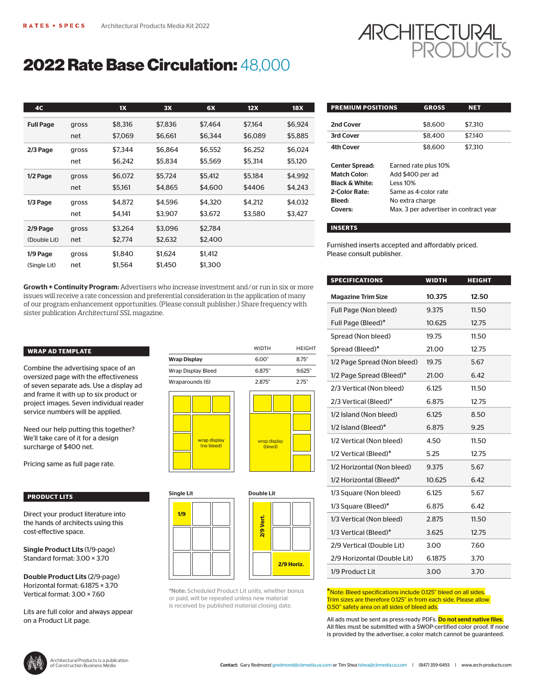

# 2022 Rate Base Circulation: 48,000

| <b>4C</b>        |       | 1X      | 3X      | 6X      | 12X     | <b>18X</b> | <b>PREMIUM POSITIONS</b>                                                       |                                                     | <b>GROSS</b>         | <b>NET</b> |
|------------------|-------|---------|---------|---------|---------|------------|--------------------------------------------------------------------------------|-----------------------------------------------------|----------------------|------------|
| <b>Full Page</b> | gross | \$8,316 | \$7,836 | \$7,464 | \$7,164 | \$6,924    | 2nd Cover                                                                      |                                                     | \$8,600              | \$7,31     |
|                  | net   | \$7,069 | \$6,661 | \$6,344 | \$6,089 | \$5,885    | 3rd Cover                                                                      |                                                     | \$8,400              | \$7,140    |
| 2/3 Page         | gross | \$7,344 | \$6,864 | \$6,552 | \$6,252 | \$6,024    | <b>4th Cover</b>                                                               |                                                     | \$8,600              | \$7,31     |
|                  | net   | \$6,242 | \$5,834 | \$5,569 | \$5,314 | \$5,120    | <b>Center Spread:</b>                                                          |                                                     | Earned rate plus 10% |            |
| 1/2 Page         | gross | \$6,072 | \$5,724 | \$5,412 | \$5,184 | \$4,992    | <b>Match Color:</b>                                                            | Add \$400 per ad                                    |                      |            |
|                  | net   | \$5,161 | \$4,865 | \$4,600 | \$4406  | \$4,243    | <b>Black &amp; White:</b><br>2-Color Rate:                                     | Less $10\%$                                         | Same as 4-color rate |            |
| $1/3$ Page       | gross | \$4,872 | \$4,596 | \$4,320 | \$4,212 | \$4,032    | Bleed:                                                                         | No extra charge<br>Max. 3 per advertiser in contrac |                      |            |
|                  | net   | \$4,141 | \$3,907 | \$3,672 | \$3,580 | \$3,427    | Covers:                                                                        |                                                     |                      |            |
| 2/9 Page         | gross | \$3,264 | \$3,096 | \$2,784 |         |            | <b>INSERTS</b>                                                                 |                                                     |                      |            |
| (Double Lit)     | net   | \$2,774 | \$2,632 | \$2,400 |         |            |                                                                                |                                                     |                      |            |
| $1/9$ Page       | gross | \$1,840 | \$1,624 | \$1,412 |         |            | Furnished inserts accepted and affordably priced.<br>Please consult publisher. |                                                     |                      |            |
| (Single Lit)     | net   | \$1,564 | \$1,450 | \$1,300 |         |            |                                                                                |                                                     |                      |            |

Growth + Continuity Program: Advertisers who increase investment and/or run in six or more issues will receive a rate concession and preferential consideration in the application of many of our program enhancement opportunities. (Please consult publisher.) Share frequency with sister publication *Architectural SSL* magazine.

# **WRAP AD TEMPLATE**

Combine the advertising space of an oversized page with the effectiveness of seven separate ads. Use a display ad and frame it with up to six product or project images. Seven individual reader service numbers will be applied.

Need our help putting this together? We'll take care of it for a design surcharge of \$400 net.

Pricing same as full page rate.

## **PRODUCT LITS**

Direct your product literature into the hands of architects using this cost-effective space.

Single Product Lits (1/9-page) Standard format: 3.00 × 3.70

Double Product Lits (2/9-page) Horizontal format: 6.1875 × 3.70 Vertical format: 3.00 × 7.60

Lits are full color and always appear on a Product Lit page.

|                     |                            |  | ,,,,,,,                 | .      |
|---------------------|----------------------------|--|-------------------------|--------|
| <b>Wrap Display</b> |                            |  | 6.00"                   | 8.75"  |
| Wrap Display Bleed  |                            |  | 6.875"                  | 9.625" |
| Wraparounds (6)     |                            |  | 2.875"                  | 2.75"  |
|                     |                            |  |                         |        |
|                     | wrap display<br>(no bleed) |  | wrap display<br>(bleed) |        |





WIDTH HEIGHT

\*Note: Scheduled Product Lit units, whether bonus or paid, will be repeated unless new material is received by published material closing date.

| <b>PREMIUM POSITIONS</b>  |                                        | <b>GROSS</b>         | <b>NET</b> |  |  |  |
|---------------------------|----------------------------------------|----------------------|------------|--|--|--|
|                           |                                        |                      |            |  |  |  |
| 2nd Cover                 |                                        | \$8.600              | \$7.310    |  |  |  |
| 3rd Cover                 |                                        | \$8,400              | \$7,140    |  |  |  |
| <b>4th Cover</b>          |                                        | \$8,600              | \$7.310    |  |  |  |
|                           |                                        |                      |            |  |  |  |
| <b>Center Spread:</b>     |                                        | Earned rate plus 10% |            |  |  |  |
| <b>Match Color:</b>       | Add \$400 per ad                       |                      |            |  |  |  |
| <b>Black &amp; White:</b> |                                        | Less $10%$           |            |  |  |  |
| 2-Color Rate:             | Same as 4-color rate                   |                      |            |  |  |  |
| Bleed:                    | No extra charge                        |                      |            |  |  |  |
| Covers:                   | Max. 3 per advertiser in contract year |                      |            |  |  |  |
|                           |                                        |                      |            |  |  |  |

#### **INSERTS**

| <b>SPECIFICATIONS</b>       | <b>WIDTH</b> | <b>HEIGHT</b> |
|-----------------------------|--------------|---------------|
| <b>Magazine Trim Size</b>   | 10.375       | 12.50         |
| Full Page (Non bleed)       | 9.375        | 11.50         |
| Full Page (Bleed)*          | 10.625       | 12.75         |
| Spread (Non bleed)          | 19.75        | 11.50         |
| Spread (Bleed)*             | 21.00        | 12.75         |
| 1/2 Page Spread (Non bleed) | 19.75        | 5.67          |
| 1/2 Page Spread (Bleed)*    | 21.00        | 6.42          |
| 2/3 Vertical (Non bleed)    | 6.125        | 11.50         |
| 2/3 Vertical (Bleed)*       | 6.875        | 12.75         |
| 1/2 Island (Non bleed)      | 6.125        | 8.50          |
| 1/2 Island (Bleed)*         | 6.875        | 9.25          |
| 1/2 Vertical (Non bleed)    | 4.50         | 11.50         |
| 1/2 Vertical (Bleed)*       | 5.25         | 12.75         |
| 1/2 Horizontal (Non bleed)  | 9.375        | 5.67          |
| 1/2 Horizontal (Bleed)*     | 10.625       | 6.42          |
| 1/3 Square (Non bleed)      | 6.125        | 5.67          |
| $1/3$ Square (Bleed)*       | 6.875        | 6.42          |
| 1/3 Vertical (Non bleed)    | 2.875        | 11.50         |
| 1/3 Vertical (Bleed)*       | 3.625        | 12.75         |
| 2/9 Vertical (Double Lit)   | 3.00         | 7.60          |
| 2/9 Horizontal (Double Lit) | 6.1875       | 3.70          |
| 1/9 Product Lit             | 3.00         | 3.70          |

\*Note: Bleed specifications include 0.125" bleed on all sides. Trim sizes are therefore 0.125" in from each side. Please allow 0.50" safety area on all sides of bleed ads.

All ads must be sent as press-ready PDFs. Do not send native files. All files must be submitted with a SWOP-certified color proof. If none is provided by the advertiser, a color match cannot be guaranteed.